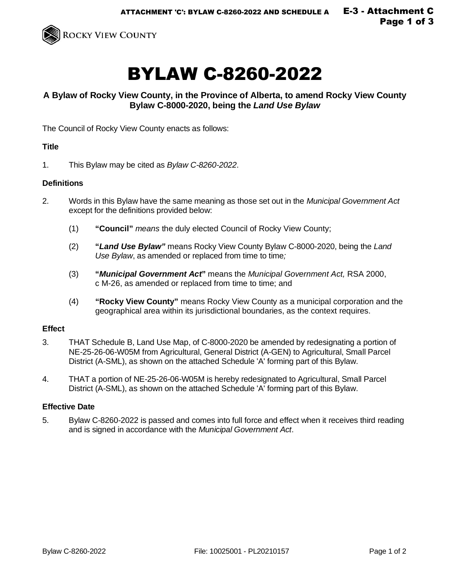

# BYLAW C-8260-2022

## **A Bylaw of Rocky View County, in the Province of Alberta, to amend Rocky View County Bylaw C-8000-2020, being the** *Land Use Bylaw*

The Council of Rocky View County enacts as follows:

#### **Title**

1. This Bylaw may be cited as *Bylaw C-8260-2022*.

#### **Definitions**

- 2. Words in this Bylaw have the same meaning as those set out in the *Municipal Government Act* except for the definitions provided below:
	- (1) **"Council"** *means* the duly elected Council of Rocky View County;
	- (2) **"***Land Use Bylaw"* means Rocky View County Bylaw C-8000-2020, being the *Land Use Bylaw*, as amended or replaced from time to time*;*
	- (3) **"***Municipal Government Act***"** means the *Municipal Government Act,* RSA 2000, c M-26, as amended or replaced from time to time; and
	- (4) **"Rocky View County"** means Rocky View County as a municipal corporation and the geographical area within its jurisdictional boundaries, as the context requires.

#### **Effect**

- 3. THAT Schedule B, Land Use Map, of C-8000-2020 be amended by redesignating a portion of NE-25-26-06-W05M from Agricultural, General District (A-GEN) to Agricultural, Small Parcel District (A-SML), as shown on the attached Schedule 'A' forming part of this Bylaw.
- 4. THAT a portion of NE-25-26-06-W05M is hereby redesignated to Agricultural, Small Parcel District (A-SML), as shown on the attached Schedule 'A' forming part of this Bylaw.

### **Effective Date**

5. Bylaw C-8260-2022 is passed and comes into full force and effect when it receives third reading and is signed in accordance with the *Municipal Government Act*.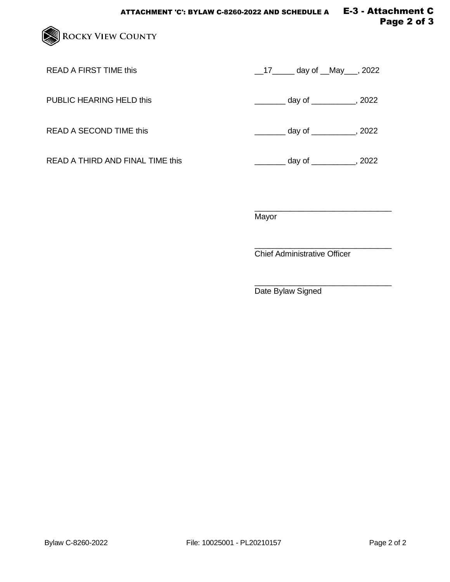

READ A FIRST TIME this  $\frac{17}{2}$  day of  $\frac{180}{2}$ , 2022

PUBLIC HEARING HELD this  $\qquad \qquad \qquad \qquad \qquad \qquad \qquad \qquad \text{day of } \qquad \qquad \qquad \qquad \qquad \text{.}$  2022

READ A THIRD AND FINAL TIME this \_\_\_\_\_\_\_\_\_\_\_\_\_\_\_\_\_\_\_\_\_ day of \_\_\_\_\_\_\_\_\_\_\_, 2022

READ A SECOND TIME this  $\frac{1}{2}$  day of \_\_\_\_\_\_\_\_, 2022

\_\_\_\_\_\_\_\_\_\_\_\_\_\_\_\_\_\_\_\_\_\_\_\_\_\_\_\_\_\_\_ Mayor

\_\_\_\_\_\_\_\_\_\_\_\_\_\_\_\_\_\_\_\_\_\_\_\_\_\_\_\_\_\_\_ Chief Administrative Officer

\_\_\_\_\_\_\_\_\_\_\_\_\_\_\_\_\_\_\_\_\_\_\_\_\_\_\_\_\_\_\_ Date Bylaw Signed